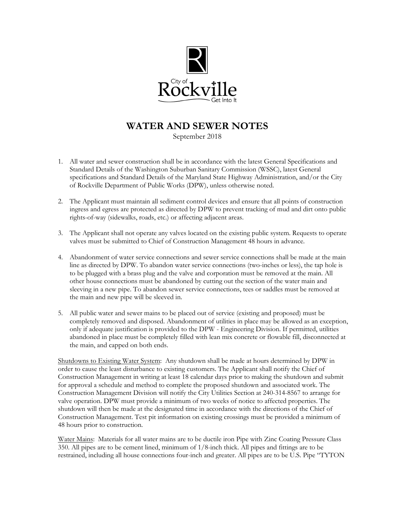

## **WATER AND SEWER NOTES**

September 2018

- 1. All water and sewer construction shall be in accordance with the latest General Specifications and Standard Details of the Washington Suburban Sanitary Commission (WSSC), latest General specifications and Standard Details of the Maryland State Highway Administration, and/or the City of Rockville Department of Public Works (DPW), unless otherwise noted.
- 2. The Applicant must maintain all sediment control devices and ensure that all points of construction ingress and egress are protected as directed by DPW to prevent tracking of mud and dirt onto public rights-of-way (sidewalks, roads, etc.) or affecting adjacent areas.
- 3. The Applicant shall not operate any valves located on the existing public system. Requests to operate valves must be submitted to Chief of Construction Management 48 hours in advance.
- 4. Abandonment of water service connections and sewer service connections shall be made at the main line as directed by DPW. To abandon water service connections (two-inches or less), the tap hole is to be plugged with a brass plug and the valve and corporation must be removed at the main. All other house connections must be abandoned by cutting out the section of the water main and sleeving in a new pipe. To abandon sewer service connections, tees or saddles must be removed at the main and new pipe will be sleeved in.
- 5. All public water and sewer mains to be placed out of service (existing and proposed) must be completely removed and disposed. Abandonment of utilities in place may be allowed as an exception, only if adequate justification is provided to the DPW - Engineering Division. If permitted, utilities abandoned in place must be completely filled with lean mix concrete or flowable fill, disconnected at the main, and capped on both ends.

Shutdowns to Existing Water System: Any shutdown shall be made at hours determined by DPW in order to cause the least disturbance to existing customers. The Applicant shall notify the Chief of Construction Management in writing at least 18 calendar days prior to making the shutdown and submit for approval a schedule and method to complete the proposed shutdown and associated work. The Construction Management Division will notify the City Utilities Section at 240-314-8567 to arrange for valve operation. DPW must provide a minimum of two weeks of notice to affected properties. The shutdown will then be made at the designated time in accordance with the directions of the Chief of Construction Management. Test pit information on existing crossings must be provided a minimum of 48 hours prior to construction.

Water Mains: Materials for all water mains are to be ductile iron Pipe with Zinc Coating Pressure Class 350. All pipes are to be cement lined, minimum of 1/8-inch thick. All pipes and fittings are to be restrained, including all house connections four-inch and greater. All pipes are to be U.S. Pipe "TYTON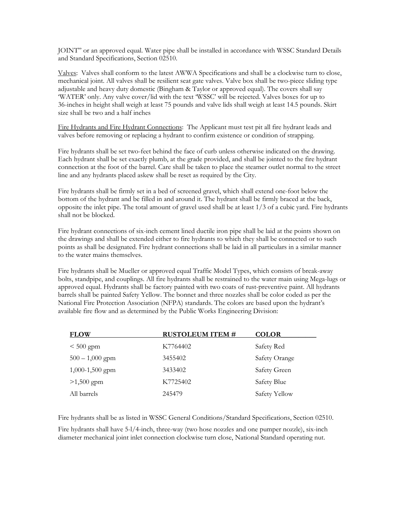JOINT" or an approved equal. Water pipe shall be installed in accordance with WSSC Standard Details and Standard Specifications, Section 02510.

Valves: Valves shall conform to the latest AWWA Specifications and shall be a clockwise turn to close, mechanical joint. All valves shall be resilient seat gate valves. Valve box shall be two-piece sliding type adjustable and heavy duty domestic (Bingham & Taylor or approved equal). The covers shall say 'WATER' only. Any valve cover/lid with the text 'WSSC' will be rejected. Valves boxes for up to 36-inches in height shall weigh at least 75 pounds and valve lids shall weigh at least 14.5 pounds. Skirt size shall be two and a half inches

Fire Hydrants and Fire Hydrant Connections: The Applicant must test pit all fire hydrant leads and valves before removing or replacing a hydrant to confirm existence or condition of strapping.

Fire hydrants shall be set two-feet behind the face of curb unless otherwise indicated on the drawing. Each hydrant shall be set exactly plumb, at the grade provided, and shall be jointed to the fire hydrant connection at the foot of the barrel. Care shall be taken to place the steamer outlet normal to the street line and any hydrants placed askew shall be reset as required by the City.

Fire hydrants shall be firmly set in a bed of screened gravel, which shall extend one-foot below the bottom of the hydrant and be filled in and around it. The hydrant shall be firmly braced at the back, opposite the inlet pipe. The total amount of gravel used shall be at least 1/3 of a cubic yard. Fire hydrants shall not be blocked.

Fire hydrant connections of six-inch cement lined ductile iron pipe shall be laid at the points shown on the drawings and shall be extended either to fire hydrants to which they shall be connected or to such points as shall be designated. Fire hydrant connections shall be laid in all particulars in a similar manner to the water mains themselves.

Fire hydrants shall be Mueller or approved equal Traffic Model Types, which consists of break-away bolts, standpipe, and couplings. All fire hydrants shall be restrained to the water main using Mega-lugs or approved equal. Hydrants shall be factory painted with two coats of rust-preventive paint. All hydrants barrels shall be painted Safety Yellow. The bonnet and three nozzles shall be color coded as per the National Fire Protection Association (NFPA) standards. The colors are based upon the hydrant's available fire flow and as determined by the Public Works Engineering Division:

| <b>FLOW</b>       | <b>RUSTOLEUM ITEM #</b> | <b>COLOR</b>  |
|-------------------|-------------------------|---------------|
| $< 500$ gpm       | K7764402                | Safety Red    |
| $500 - 1,000$ gpm | 3455402                 | Safety Orange |
| 1,000-1,500 gpm   | 3433402                 | Safety Green  |
| $>1,500$ gpm      | K7725402                | Safety Blue   |
| All barrels       | 245479                  | Safety Yellow |

Fire hydrants shall be as listed in WSSC General Conditions/Standard Specifications, Section 02510.

Fire hydrants shall have 5-l/4-inch, three-way (two hose nozzles and one pumper nozzle), six-inch diameter mechanical joint inlet connection clockwise turn close, National Standard operating nut.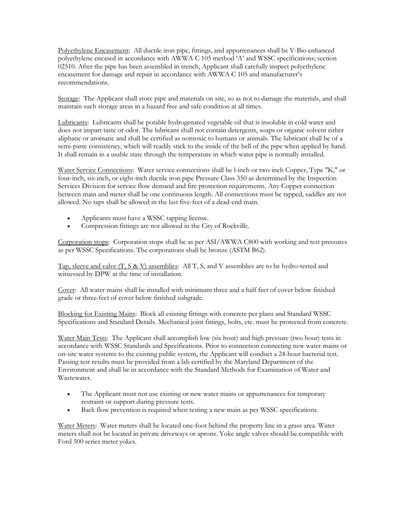Polyethylene Encasement: All ductile iron pipe, fittings, and appurtenances shall be V-Bio enhanced polyethylene encased in accordance with AWWA C 105 method 'A' and WSSC specifications; section 02510. After the pipe has been assembled in trench, Applicant shall carefully inspect polyethylene encasement for damage and repair in accordance with AWWA C 105 and manufacturer's recommendations.

Storage: The Applicant shall store pipe and materials on site, so as not to damage the materials, and shall maintain such storage areas in a hazard free and safe condition at all times.

Lubricants: Lubricants shall be potable hydrogenated vegetable oil that is insoluble in cold water and does not impart taste or odor. The lubricant shall not contain detergents, soaps or organic solvent either aliphatic or aromatic and shall be certified as nontoxic to humans or animals. The lubricant shall be of a semi-paste consistency, which will readily stick to the inside of the bell of the pipe when applied by hand. It shall remain in a usable state through the temperature in which water pipe is normally installed.

Water Service Connections: Water service connections shall be l-inch or two-inch Copper, Type "K," or four-inch, six-inch, or eight-inch ductile iron pipe Pressure Class 350 as determined by the Inspection Services Division for service flow demand and fire protection requirements. Any Copper connection between main and meter shall be one continuous length. All connections must be tapped, saddles are not allowed. No taps shall be allowed in the last five-feet of a dead-end main.

- Applicants must have a WSSC tapping license.
- Compression fittings are not allowed in the City of Rockville.

Corporation stops: Corporation stops shall be as per ASI/AWWA C800 with working and test pressures as per WSSC Specifications. The corporations shall be bronze (ASTM B62).

Tap, sleeve and valve (T, S & V) assemblies: All T, S, and V assemblies are to be hydro-tested and witnessed by DPW at the time of installation.

Cover: All water mains shall be installed with minimum three and a half feet of cover below finished grade or three-feet of cover below finished subgrade.

Blocking for Existing Mains: Block all existing fittings with concrete per plans and Standard WSSC Specifications and Standard Details. Mechanical joint fittings, bolts, etc. must be protected from concrete.

Water Main Tests: The Applicant shall accomplish low (six hour) and high pressure (two hour) tests in accordance with WSSC Standards and Specifications. Prior to connection connecting new water mains or on-site water systems to the existing public system, the Applicant will conduct a 24-hour bacterial test. Passing test results must be provided from a lab certified by the Maryland Department of the Environment and shall be in accordance with the Standard Methods for Examination of Water and Wastewater.

- The Applicant must not use existing or new water mains or appurtenances for temporary restraint or support during pressure tests.
- Back flow prevention is required when testing a new main as per WSSC specifications.

Water Meters: Water meters shall be located one-foot behind the property line in a grass area. Water meters shall not be located in private driveways or aprons. Yoke angle valves should be compatible with Ford 500 series meter yokes.